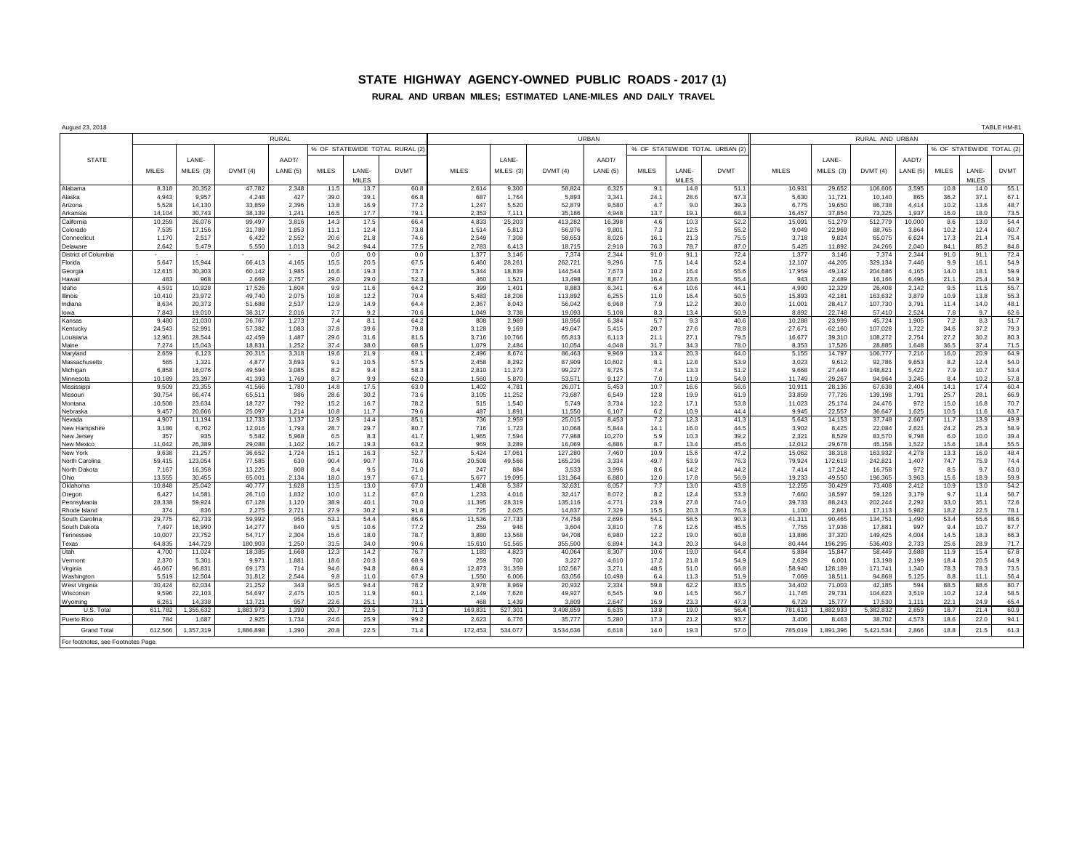## **STATE HIGHWAY AGENCY-OWNED PUBLIC ROADS - 2017 (1)**

## **RURAL AND URBAN MILES; ESTIMATED LANE-MILES AND DAILY TRAVEL**

| August 23, 2018                |                 |                  |                  |                |                               |              |              |                |                 |                   |                |                               |              |              |                  |                  |                   |                |                          |              | TABLE HM-81  |
|--------------------------------|-----------------|------------------|------------------|----------------|-------------------------------|--------------|--------------|----------------|-----------------|-------------------|----------------|-------------------------------|--------------|--------------|------------------|------------------|-------------------|----------------|--------------------------|--------------|--------------|
|                                | <b>RURAL</b>    |                  |                  |                |                               |              |              | URBAN          |                 |                   |                |                               |              |              | RURAL AND URBAN  |                  |                   |                |                          |              |              |
|                                |                 |                  |                  |                | % OF STATEWIDE TOTAL RURAL (2 |              |              |                |                 |                   |                | % OF STATEWIDE TOTAL URBAN (2 |              |              |                  |                  |                   |                | % OF STATEWIDE TOTAL (2) |              |              |
| <b>STATE</b>                   |                 | LANE-            |                  | AADT/          |                               |              |              |                | LANE-           |                   | AADT/          |                               |              |              |                  | LANE-            |                   | AADT           |                          |              |              |
|                                | <b>MILES</b>    | MILES (3)        | DVMT(4)          | LANE (5)       | <b>MILES</b>                  | LANE-        | <b>DVMT</b>  | <b>MILES</b>   | MILES (3)       | DVMT(4)           | LANE(5)        | <b>MILES</b>                  | LANE-        | <b>DVMT</b>  | <b>MILES</b>     | MILES (3)        | DVMT(4)           | LANE (5)       | MILES                    | LANE-        | <b>DVMT</b>  |
|                                |                 |                  |                  |                |                               | MILES        |              |                |                 |                   |                |                               | <b>MILES</b> |              |                  |                  |                   |                |                          | <b>MILES</b> |              |
| Alabama                        | 8,31            | 20,352           | 47,782           | 2,348          | 11.5                          | 13.7         | 60.8         | 2,614          | 9,300           | 58,824            | 6,325          | 9.1                           | 14.8         | 51.1         | 10,931           | 29,652           | 106,606           | 3,595          | 10.8                     | 14.0         | 55.1         |
| Alaska                         | 4,943           | 9,957            | 4,248            | 427            | 39.0                          | 39.1         | 66.8         | 687            | 1,764           | 5,893             | 3,341          | 24.1                          | 28.6         | 67.3         | 5,630            | 11,721           | 10,140            | 865            | 36.2                     | 37.1         | 67.1         |
| Arizona                        | 5,528           | 14.130           | 33,859           | 2.396          | 13.8                          | 16.9         | 77.2         | 1,247          | 5,520           | 52,879            | 9.580          | 4.7                           | 9.0          | 39.3         | 6.775            | 19,650           | 86.738            | 4.414          | 10.2                     | 13.6         | 48.7         |
| Arkansas                       | 14.104          | 30,743           | 38,139           | 1,241          | 16.5                          | 17.7         | 79.1         | 2,353          | 7.111           | 35,186            | 4,948          | 13.7                          | 19.1         | 68.3         | 16,457           | 37,854           | 73,325            | 1,937          | 16.0                     | 18.0         | 73.5         |
| California                     | 10,259          | 26,076           | 99,497           | 3,816          | 14.3                          | 17.5         | 66.4         | 4,833          | 25,203          | 413,282           | 16,398         | 4.6                           | 10.3         | 52.2         | 15,091           | 51,279           | 512,779           | 10,000         | 8.6                      | 13.0         | 54.4         |
| Colorado<br>Connecticut        | 7,535<br>1,170  | 17.156<br>2,517  | 31,789<br>6,422  | 1,853<br>2,552 | 11.1<br>20.6                  | 12.4<br>21.8 | 73.8<br>74.6 | 1,514<br>2,549 | 5,813<br>7,308  | 56,976<br>58,653  | 9.801<br>8,026 | 7.3<br>16.1                   | 12.5<br>21.3 | 55.2<br>75.5 | 9,049<br>3,718   | 22,969<br>9,824  | 88,765<br>65,075  | 3,864<br>6,624 | 10.2<br>17.3             | 12.4<br>21.4 | 60.7<br>75.4 |
| Delaware                       | 2.642           | 5.479            | 5.550            | 1,013          | 94.2                          | 94.4         | 77.5         | 2.783          | 6.413           | 18.715            | 2.918          | 76.3                          | 78.7         | 87.0         | 5.425            | 11.892           | 24.266            | 2.040          | 84.1                     | 85.2         | 84.6         |
| District of Columbia           |                 |                  |                  |                | 0.0                           | 0.0          | 0.0          | 1,377          | 3.146           | 7,374             | 2,344          | 91.0                          | 91.1         | 72.4         | 1,377            | 3,146            | 7,374             | 2,344          | 91.0                     | 91.1         | 72.4         |
| Florida                        | 5,647           | 15,944           | 66,413           | 4,165          | 15.5                          | 20.5         | 67.5         | 6,460          | 28,261          | 262,721           | 9,296          | 7.5                           | 14.4         | 52.4         | 12,107           | 44,205           | 329,134           | 7.446          | 9.9                      | 16.1         | 54.9         |
| Georgia                        | 12,615          | 30,303           | 60,142           | 1,985          | 16.6                          | 19.3         | 73.7         | 5,344          | 18,839          | 144,544           | 7,673          | 10.2                          | 16.4         | 55.6         | 17,959           | 49,142           | 204,686           | 4,165          | 14.0                     | 18.1         | 59.9         |
| Hawaii                         | 483             | 968              | 2,669            | 2,757          | 29.0                          | 29.0         | 52.3         | 460            | 1,521           | 13,498            | 8,877          | 16.4                          | 23.6         | 55.4         | 943              | 2,489            | 16,166            | 6,496          | 21.1                     | 25.4         | 54.9         |
| Idaho                          | 4,591           | 10.928           | 17,526           | 1.604          | 9.9                           | 11.6         | 64.2         | 399            | 1.401           | 8.883             | 6.341          | 6.4                           | 10.6         | 44.1         | 4.990            | 12.329           | 26,408            | 2.142          | 9.5                      | 11.5         | 55.7         |
| Illinois                       | 10,410          | 23,972           | 49,740           | 2,075          | 10.8                          | 12.2         | 70.4         | 5,483          | 18,208          | 113,892           | 6,255          | 11.0                          | 16.4         | 50.5         | 15,893           | 42,181           | 163,632           | 3,879          | 10.9                     | 13.8         | 55.3         |
| Indiana<br>lowa                | 8,634<br>7.843  | 20,373<br>19,010 | 51,688<br>38.317 | 2,537<br>2.016 | 12.9<br>7.7                   | 14.9<br>9.2  | 64.4<br>70.6 | 2,367<br>1.049 | 8,043<br>3.738  | 56,042<br>19.093  | 6,968<br>5.108 | 7.9<br>8.3                    | 12.2<br>13.4 | 39.0<br>50.9 | 11,001<br>8.892  | 28,417<br>22.748 | 107,730<br>57,410 | 3,791<br>2.524 | 11.4<br>7.8              | 14.0<br>9.7  | 48.1<br>62.6 |
| Kansas                         | 9,480           | 21,030           | 26,767           | 1,273          | 7.4                           | 8.1          | 64.2         | 808            | 2,969           | 18,956            | 6,384          | 5.7                           | 9.3          | 40.6         | 10,288           | 23,999           | 45,724            | 1,905          | 7.2                      | 8.3          | 51.7         |
| Kentucky                       | 24,543          | 52.991           | 57,382           | 1,083          | 37.8                          | 39.6         | 79.8         | 3,128          | 9.169           | 49,647            | 5.415          | 20.7                          | 27.6         | 78.8         | 27,671           | 62.160           | 107,028           | 1,722          | 34.6                     | 37.2         | 79.3         |
| Louisiana                      | 12,961          | 28,544           | 42,459           | 1,487          | 29.6                          | 31.6         | 81.5         | 3,716          | 10,766          | 65,813            | 6,113          | 21.1                          | 27.1         | 79.5         | 16,677           | 39,310           | 108,272           | 2,754          | 27.2                     | 30.2         | 80.3         |
| Maine                          | 7,274           | 15,043           | 18.831           | 1,252          | 37.4                          | 38.0         | 68.5         | 1.079          | 2.484           | 10.054            | 4.048          | 31.7                          | 34.3         | 78.0         | 8,353            | 17,526           | 28,885            | 1.648          | 36.5                     | 37.4         | 71.5         |
| Maryland                       | 2,659           | 6,123            | 20,315           | 3,318          | 19.6                          | 21.9         | 69.1         | 2,496          | 8,674           | 86,463            | 9,969          | 13.4                          | 20.3         | 64.0         | 5,155            | 14,797           | 106,777           | 7,216          | 16.0                     | 20.9         | 64.9         |
| Massachusetts                  | 565             | 1,321            | 4,877            | 3,693          | 9.1                           | 10.5         | 57.5         | 2,458          | 8,292           | 87,909            | 10,602         | 8.1                           | 12.8         | 53.9         | 3,023            | 9,612            | 92,786            | 9,653          | 8.2                      | 12.4         | 54.0         |
| Michigan                       | 6,858<br>10,189 | 16.076<br>23.397 | 49.594<br>41.393 | 3.085<br>1.769 | 8.2<br>8.7                    | 9.4<br>9.9   | 58.3         | 2,810<br>1,560 | 11.373          | 99,227            | 8,725<br>9,127 | 7.4<br>7.0                    | 13.3<br>11.9 | 51.2         | 9,668<br>11.749  | 27,449<br>29,267 | 148.821<br>94.964 | 5.422<br>3,245 | 7.9<br>8.4               | 10.7         | 53.4         |
| Minnesota<br>Mississipp        | 9,509           | 23,355           | 41,566           | 1,780          | 14.8                          | 17.5         | 62.0<br>63.0 | 1,402          | 5,870<br>4,781  | 53,57<br>26,07    | 5,453          | 10.7                          | 16.6         | 54.9<br>56.6 | 10,911           | 28,136           | 67,638            | 2,404          | 14.1                     | 10.2<br>17.4 | 57.8<br>60.4 |
| Missouri                       | 30,754          | 66.474           | 65,511           | 986            | 28.6                          | 30.2         | 73.6         | 3,105          | 11,252          | 73,687            | 6,549          | 12.8                          | 19.9         | 61.9         | 33,859           | 77,726           | 139,198           | 1,791          | 25.7                     | 28.1         | 66.9         |
| Montana                        | 10,508          | 23,634           | 18,727           | 792            | 15.2                          | 16.7         | 78.2         | 515            | 1,540           | 5,749             | 3,734          | 12.2                          | 17.1         | 53.8         | 11,023           | 25,174           | 24,476            | 972            | 15.0                     | 16.8         | 70.7         |
| Vebraska                       | 9.457           | 20.666           | 25.097           | 1.214          | 10.8                          | 11.7         | 79.6         | 487            | 1.891           | 11.550            | 6.107          | 6.2                           | 10.9         | 44.4         | 9.945            | 22.557           | 36.647            | 1.625          | 10.5                     | 11.6         | 63.7         |
| Nevada                         | 4,907           | 11,194           | 12,733           | 1,137          | 12.9                          | 14.4         | 85.1         | 736            | 2,959           | 25,015            | 8,453          | 7.2                           | 12.3         | 41.3         | 5,643            | 14,153           | 37,748            | 2,667          | 11.7                     | 13.9         | 49.9         |
| New Hampshire                  | 3,186           | 6,702            | 12,016           | 1,793          | 28.7                          | 29.7         | 80.7         | 716            | 1,723           | 10,068            | 5,844          | 14.1                          | 16.0         | 44.5         | 3,902            | 8,425            | 22,084            | 2,621          | 24.2                     | 25.3         | 58.9         |
| New Jersey                     | 357             | 935              | 5,582            | 5,968          | 6.5                           | 8.3          | 41.7         | 1,965          | 7,594           | 77,988            | 10,270         | 5.9                           | 10.3         | 39.2         | 2,321            | 8,529            | 83,570            | 9,798          | 6.0                      | 10.0         | 39.4         |
| New Mexicc<br>New York         | 11,042<br>9,638 | 26,389<br>21.257 | 29,088<br>36,652 | 1,102<br>1,724 | 16.7<br>15.1                  | 19.3<br>16.3 | 63.2<br>52.7 | 969<br>5,424   | 3,289<br>17,061 | 16,069<br>127,280 | 4,886<br>7.460 | 8.7<br>10.9                   | 13.4<br>15.6 | 45.6<br>47.2 | 12,012<br>15,062 | 29,678<br>38.318 | 45,158<br>163.932 | 1,522<br>4,278 | 15.6<br>13.3             | 18.4<br>16.0 | 55.5<br>48.4 |
| North Carolina                 | 59,415          | 123,054          | 77,585           | 630            | 90.4                          | 90.7         | 70.6         | 20,508         | 49,566          | 165,236           | 3,334          | 49.7                          | 53.9         | 76.3         | 79,924           | 172,619          | 242,821           | 1,407          | 74.7                     | 75.9         | 74.4         |
| North Dakota                   | 7,167           | 16,358           | 13,225           | 808            | 8.4                           | 9.5          | 71.0         | 247            | 884             | 3,533             | 3,996          | 8.6                           | 14.2         | 44.2         | 7,414            | 17,242           | 16,758            | 972            | 8.5                      | 9.7          | 63.0         |
| Ohio                           | 13,555          | 30.455           | 65.001           | 2.134          | 18.0                          | 19.7         | 67.1         | 5.677          | 19.095          | 131.364           | 6,880          | 12.0                          | 17.8         | 56.9         | 19.233           | 49.550           | 196.365           | 3.963          | 15.6                     | 18.9         | 59.9         |
| Oklahoma                       | 10,848          | 25,042           | 40,777           | 1,628          | 11.5                          | 13.0         | 67.0         | 1,408          | 5,387           | 32,63'            | 6,057          | 7.7                           | 13.0         | 43.8         | 12,255           | 30,429           | 73,408            | 2,412          | 10.9                     | 13.0         | 54.2         |
| Oregon                         | 6,427           | 14.581           | 26,710           | 1,832          | 10.0                          | 11.2         | 67.0         | 1,233          | 4.016           | 32,417            | 8,072          | 8.2                           | 12.4         | 53.3         | 7,660            | 18,597           | 59.126            | 3.179          | 9.7                      | 11.4         | 58.7         |
| Pennsylvania                   | 28,338          | 59,924           | 67,128           | 1,120          | 38.9                          | 40.1         | 70.0         | 11,395         | 28,319          | 135,116           | 4,771          | 23.9                          | 27.8         | 74.0         | 39,733           | 88,243           | 202,244           | 2,292          | 33.0                     | 35.1         | 72.6         |
| Rhode Island                   | 374             | 836              | 2.275            | 2,721          | 27.9                          | 30.2         | 91.8         | 725            | 2,025           | 14,837            | 7.329          | 15.5                          | 20.3         | 76.3         | 1.100            | 2.861            | 17.113            | 5.982          | 18.2                     | 22.5         | 78.1         |
| South Carolina<br>South Dakota | 29,775<br>7,497 | 62,733<br>16,990 | 59,992<br>14,277 | 956<br>840     | 53.1<br>9.5                   | 54.4<br>10.6 | 86.6<br>77.2 | 11,536<br>259  | 27,733<br>946   | 74,758<br>3,604   | 2,696<br>3,810 | 54.1<br>7.6                   | 58.5<br>12.6 | 90.3<br>45.5 | 41,311<br>7,755  | 90,465<br>17,936 | 134,751<br>17,881 | 1,490<br>997   | 53.4<br>9.4              | 55.6<br>10.7 | 88.6<br>67.7 |
| Tennessee                      | 10,007          | 23.752           | 54.717           | 2.304          | 15.6                          | 18.0         | 78.7         | 3,880          | 13.568          | 94,708            | 6.980          | 12.2                          | 19.0         | 60.8         | 13,886           | 37,320           | 149.425           | 4.004          | 14.5                     | 18.3         | 66.3         |
| Texas                          | 64,835          | 144.729          | 180,903          | 1,250          | 31.5                          | 34.0         | 90.6         | 15,610         | 51,565          | 355,500           | 6.894          | 14.3                          | 20.3         | 64.8         | 80.444           | 196,295          | 536,403           | 2,733          | 25.6                     | 28.9         | 71.7         |
| Utah                           | 4,700           | 11,024           | 18,385           | 1,668          | 12.3                          | 14.2         | 76.7         | 1,183          | 4,823           | 40,064            | 8,307          | 10.6                          | 19.0         | 64.4         | 5,884            | 15,847           | 58,449            | 3,688          | 11.9                     | 15.4         | 67.8         |
| Vermont                        | 2,370           | 5,301            | 9,971            | 1,881          | 18.6                          | 20.3         | 68.9         | 259            | 700             | 3,227             | 4,610          | 17.2                          | 21.8         | 54.9         | 2,629            | 6,001            | 13,198            | 2,199          | 18.4                     | 20.5         | 64.9         |
| Virginia                       | 46,067          | 96,831           | 69,173           | 714            | 94.6                          | 94.8         | 86.4         | 12,873         | 31,359          | 102,567           | 3,271          | 48.5                          | 51.0         | 66.8         | 58,940           | 128,189          | 171,741           | 1,340          | 78.3                     | 78.3         | 73.5         |
| Washington                     | 5.519           | 12.504           | 31.812           | 2.544          | 9.8                           | 11.0         | 67.9         | 1.550          | 6.006           | 63.056            | 10.498         | 6.4                           | 11.3         | 51.9         | 7.069            | 18.511           | 94.868            | 5.125          | 8.8                      | 11.1         | 56.4         |
| West Virgini                   | 30,424          | 62,034           | 21,252           | 343            | 94.5                          | 94.4         | 78.2         | 3,978          | 8,969           | 20,932            | 2,334          | 59.8                          | 62.2         | 83.5         | 34,402           | 71,003           | 42,185            | 594            | 88.5                     | 88.6         | 80.7         |
| Wisconsin<br>Wvoming           | 9,596<br>6.261  | 22,103<br>14.338 | 54,697<br>13.721 | 2,475<br>957   | 10.5<br>22.6                  | 11.9<br>25.1 | 60.1<br>73.1 | 2,149<br>468   | 7,628<br>1.439  | 49,927<br>3.809   | 6,545<br>2.647 | 9.0<br>16.9                   | 14.5<br>23.3 | 56.7<br>47.3 | 11,745<br>6.729  | 29,731<br>15.777 | 104,623<br>17,530 | 3,519<br>1.111 | 10.2<br>22.1             | 12.4<br>24.9 | 58.5<br>65.4 |
| U.S. Total                     | 611.782         | .355.632         | 1.883.973        | 1.390          | 20.7                          | 22.5         | 71.3         | 169.831        | 527.301         | 3.498.859         | 6.635          | 13.8                          | 19.0         | 56.4         | 781.613          | 1.882.933        | 5.382.832         | 2.859          | 18.7                     | 21.4         | 60.9         |
| Puerto Rico                    | 784             | 1,687            | 2,925            | 1,734          | 24.6                          | 25.9         | 99.2         | 2,623          | 6,776           | 35,777            | 5,280          | 17.3                          | 21.2         | 93.7         | 3.406            | 8.463            | 38,702            | 4.573          | 18.6                     | 22.0         | 94.1         |
| <b>Grand Total</b>             | 612,566         | 1,357,319        | 1,886,898        | 1,390          | 20.8                          | 22.5         | 71.4         | 172,453        | 534,077         | 3,534,636         | 6,618          | 14.0                          | 19.3         | 57.0         | 785,019          | 1,891,396        | 5,421,534         | 2,866          | 18.8                     | 21.5         | 61.3         |
|                                |                 |                  |                  |                |                               |              |              |                |                 |                   |                |                               |              |              |                  |                  |                   |                |                          |              |              |

For footnotes, see Footnotes Page.